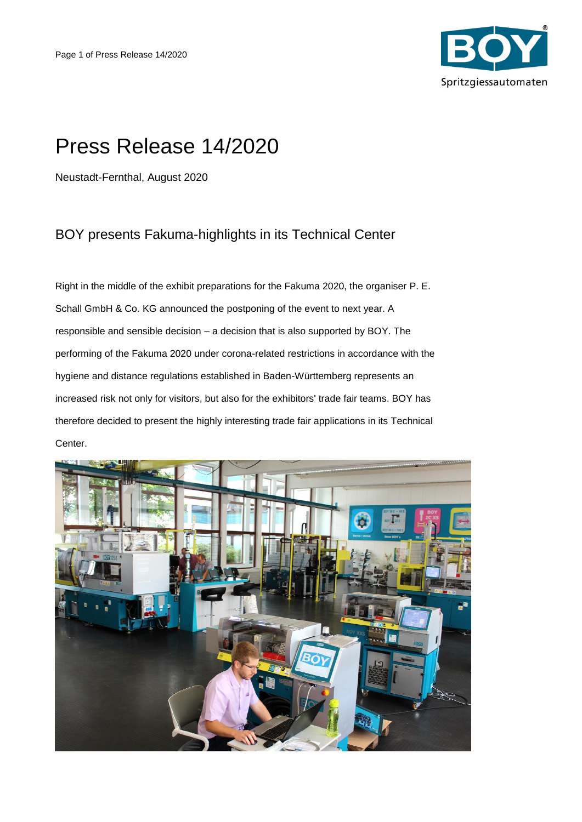

## Press Release 14/2020

Neustadt-Fernthal, August 2020

## BOY presents Fakuma-highlights in its Technical Center

Right in the middle of the exhibit preparations for the Fakuma 2020, the organiser P. E. Schall GmbH & Co. KG announced the postponing of the event to next year. A responsible and sensible decision – a decision that is also supported by BOY. The performing of the Fakuma 2020 under corona-related restrictions in accordance with the hygiene and distance regulations established in Baden-Württemberg represents an increased risk not only for visitors, but also for the exhibitors' trade fair teams. BOY has therefore decided to present the highly interesting trade fair applications in its Technical Center.